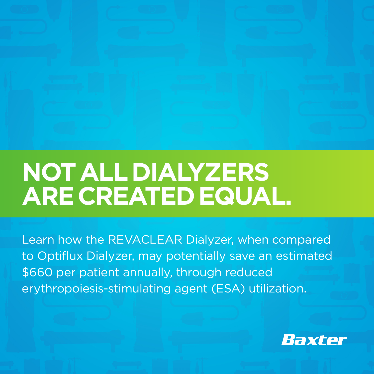

## **NOT ALL DIALYZERS ARE CREATED EQUAL.**

Learn how the REVACLEAR Dialyzer, when compared to Optiflux Dialyzer, may potentially save an estimated \$660 per patient annually, through reduced erythropoiesis-stimulating agent (ESA) utilization.

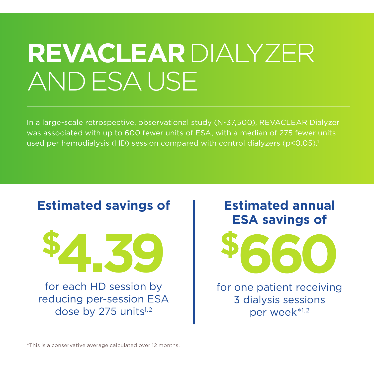# **REVACLEAR** DIALYZER AND ESA USE

In a large-scale retrospective, observational study (N~37,500), REVACLEAR Dialyzer was associated with up to 600 fewer units of ESA, with a median of 275 fewer units used per hemodialysis (HD) session compared with control dialyzers (p<0.05).<sup>1</sup>



#### **Estimated annual ESA savings of**



for one patient receiving 3 dialysis sessions per week\*1,2

\*This is a conservative average calculated over 12 months.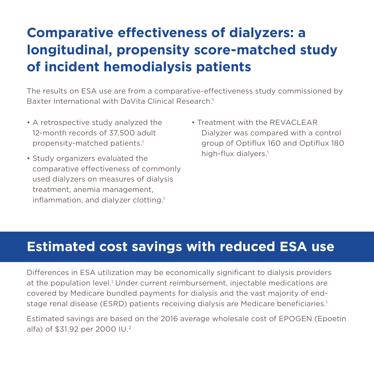## **Comparative effectiveness of dialyzers: a longitudinal, propensity score-matched study of incident hemodialysis patients**

The results on ESA use are from a comparative-effectiveness study commissioned by Baxter International with DaVita Clinical Research.<sup>1</sup>

- A retrospective study analyzed the 12-month records of 37,500 adult propensity-matched patients.<sup>1</sup>
- Study organizers evaluated the comparative effectiveness of commonly used dialyzers on measures of dialysis treatment, anemia management, inflammation, and dialyzer clotting.<sup>1</sup>
- Treatment with the REVACLEAR Dialyzer was compared with a control group of Optiflux 160 and Optiflux 180 high-flux dialyers.<sup>1</sup>

#### **Estimated cost savings with reduced ESA use**

Differences in ESA utilization may be economically significant to dialysis providers at the population level.<sup>1</sup> Under current reimbursement, injectable medications are covered by Medicare bundled payments for dialysis and the vast majority of endstage renal disease (ESRD) patients receiving dialysis are Medicare beneficiaries.1

Estimated savings are based on the 2016 average wholesale cost of EPOGEN (Epoetin alfa) of \$31.92 per 2000 IU.2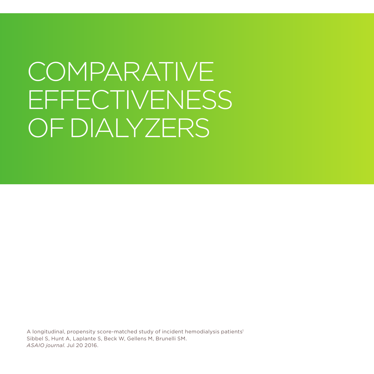# COMPARATIVE EFFECTIVENESS OF DIALYZERS

A longitudinal, propensity score-matched study of incident hemodialysis patients<sup>1</sup> Sibbel S, Hunt A, Laplante S, Beck W, Gellens M, Brunelli SM. *ASAIO journal*. Jul 20 2016.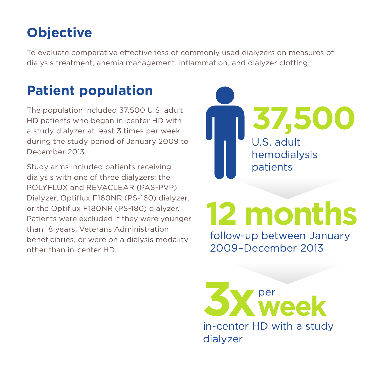## **Objective**

To evaluate comparative effectiveness of commonly used dialyzers on measures of dialysis treatment, anemia management, inflammation, and dialyzer clotting.

#### **Patient population**

The population included 37,500 U.S. adult HD patients who began in-center HD with a study dialyzer at least 3 times per week during the study period of January 2009 to December 2013.

Study arms included patients receiving dialysis with one of three dialyzers: the POLYFLUX and REVACLEAR (PAS-PVP) Dialyzer, Optiflux F160NR (PS-160) dialyzer, or the Optiflux F180NR (PS-180) dialyzer. Patients were excluded if they were younger than 18 years, Veterans Administration beneficiaries, or were on a dialysis modality other than in-center HD.



# **12 months**

follow-up between January 2009–December 2013

in-center HD with a study **3X** week per

dialyzer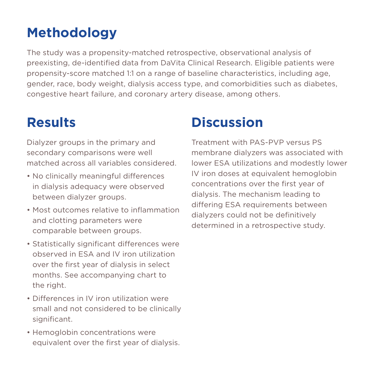#### **Methodology**

The study was a propensity-matched retrospective, observational analysis of preexisting, de-identified data from DaVita Clinical Research. Eligible patients were propensity-score matched 1:1 on a range of baseline characteristics, including age, gender, race, body weight, dialysis access type, and comorbidities such as diabetes, congestive heart failure, and coronary artery disease, among others.

#### **Results**

Dialyzer groups in the primary and secondary comparisons were well matched across all variables considered.

- No clinically meaningful differences in dialysis adequacy were observed between dialyzer groups.
- Most outcomes relative to inflammation and clotting parameters were comparable between groups.
- Statistically significant differences were observed in ESA and IV iron utilization over the first year of dialysis in select months. See accompanying chart to the right.
- Differences in IV iron utilization were small and not considered to be clinically significant.
- Hemoglobin concentrations were equivalent over the first year of dialysis.

#### **Discussion**

Treatment with PAS-PVP versus PS membrane dialyzers was associated with lower ESA utilizations and modestly lower IV iron doses at equivalent hemoglobin concentrations over the first year of dialysis. The mechanism leading to differing ESA requirements between dialyzers could not be definitively determined in a retrospective study.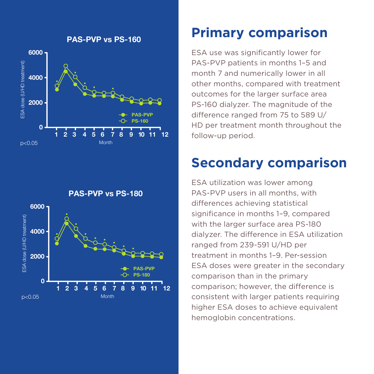

PAS-PVP vs PS-180



#### **Primary comparison**

ESA use was significantly lower for PAS-PVP patients in months 1–5 and month 7 and numerically lower in all other months, compared with treatment outcomes for the larger surface area PS-160 dialyzer. The magnitude of the difference ranged from 75 to 589 U/ HD per treatment month throughout the follow-up period.

#### **Secondary comparison**

ESA utilization was lower among PAS-PVP users in all months, with differences achieving statistical significance in months 1–9, compared with the larger surface area PS-180 dialyzer. The difference in ESA utilization ranged from 239-591 U/HD per treatment in months 1–9. Per-session ESA doses were greater in the secondary comparison than in the primary comparison; however, the difference is consistent with larger patients requiring higher ESA doses to achieve equivalent hemoglobin concentrations.